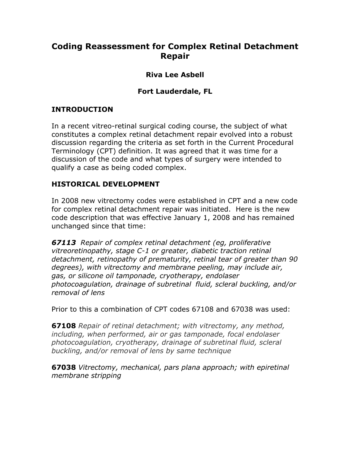# **Coding Reassessment for Complex Retinal Detachment Repair**

### **Riva Lee Asbell**

### **Fort Lauderdale, FL**

### **INTRODUCTION**

In a recent vitreo-retinal surgical coding course, the subject of what constitutes a complex retinal detachment repair evolved into a robust discussion regarding the criteria as set forth in the Current Procedural Terminology (CPT) definition. It was agreed that it was time for a discussion of the code and what types of surgery were intended to qualify a case as being coded complex.

#### **HISTORICAL DEVELOPMENT**

In 2008 new vitrectomy codes were established in CPT and a new code for complex retinal detachment repair was initiated. Here is the new code description that was effective January 1, 2008 and has remained unchanged since that time:

*67113 Repair of complex retinal detachment (eg, proliferative vitreoretinopathy, stage C-1 or greater, diabetic traction retinal detachment, retinopathy of prematurity, retinal tear of greater than 90 degrees), with vitrectomy and membrane peeling, may include air, gas, or silicone oil tamponade, cryotherapy, endolaser photocoagulation, drainage of subretinal fluid, scleral buckling, and/or removal of lens*

Prior to this a combination of CPT codes 67108 and 67038 was used:

**67108** *Repair of retinal detachment; with vitrectomy, any method, including, when performed, air or gas tamponade, focal endolaser photocoagulation, cryotherapy, drainage of subretinal fluid, scleral buckling, and/or removal of lens by same technique*

**67038** *Vitrectomy, mechanical, pars plana approach; with epiretinal membrane stripping*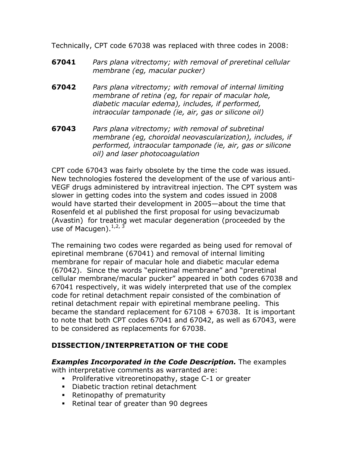Technically, CPT code 67038 was replaced with three codes in 2008:

- **67041** *Pars plana vitrectomy; with removal of preretinal cellular membrane (eg, macular pucker)*
- **67042** *Pars plana vitrectomy; with removal of internal limiting membrane of retina (eg, for repair of macular hole, diabetic macular edema), includes, if performed, intraocular tamponade (ie, air, gas or silicone oil)*
- **67043** *Pars plana vitrectomy; with removal of subretinal membrane (eg, choroidal neovascularization), includes, if performed, intraocular tamponade (ie, air, gas or silicone oil) and laser photocoagulation*

CPT code 67043 was fairly obsolete by the time the code was issued. New technologies fostered the development of the use of various anti-VEGF drugs administered by intravitreal injection. The CPT system was slower in getting codes into the system and codes issued in 2008 would have started their development in 2005—about the time that Rosenfeld et al published the first proposal for using bevacizumab (Avastin) for treating wet macular degeneration (proceeded by the use of Macugen).  $1, 2, 3$ 

The remaining two codes were regarded as being used for removal of epiretinal membrane (67041) and removal of internal limiting membrane for repair of macular hole and diabetic macular edema (67042). Since the words "epiretinal membrane" and "preretinal cellular membrane/macular pucker" appeared in both codes 67038 and 67041 respectively, it was widely interpreted that use of the complex code for retinal detachment repair consisted of the combination of retinal detachment repair with epiretinal membrane peeling. This became the standard replacement for  $67108 + 67038$ . It is important to note that both CPT codes 67041 and 67042, as well as 67043, were to be considered as replacements for 67038.

# **DISSECTION/INTERPRETATION OF THE CODE**

#### *Examples Incorporated in the Code Description.* The examples

with interpretative comments as warranted are:

- ! Proliferative vitreoretinopathy, stage C-1 or greater
- ! Diabetic traction retinal detachment
- ! Retinopathy of prematurity
- ! Retinal tear of greater than 90 degrees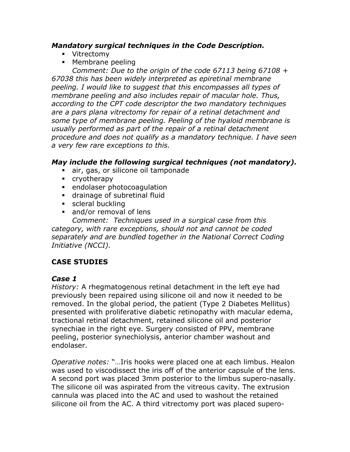#### *Mandatory surgical techniques in the Code Description.*

- ! Vitrectomy
- ! Membrane peeling

*Comment: Due to the origin of the code 67113 being 67108 + 67038 this has been widely interpreted as epiretinal membrane peeling. I would like to suggest that this encompasses all types of membrane peeling and also includes repair of macular hole. Thus, according to the CPT code descriptor the two mandatory techniques are a pars plana vitrectomy for repair of a retinal detachment and some type of membrane peeling. Peeling of the hyaloid membrane is usually performed as part of the repair of a retinal detachment procedure and does not qualify as a mandatory technique. I have seen a very few rare exceptions to this.*

#### *May include the following surgical techniques (not mandatory).*

- air, gas, or silicone oil tamponade
- ! cryotherapy
- ! endolaser photocoagulation
- ! drainage of subretinal fluid
- **scleral buckling**
- and/or removal of lens

*Comment: Techniques used in a surgical case from this category, with rare exceptions, should not and cannot be coded separately and are bundled together in the National Correct Coding Initiative (NCCI).*

# **CASE STUDIES**

# *Case 1*

*History:* A rhegmatogenous retinal detachment in the left eye had previously been repaired using silicone oil and now it needed to be removed. In the global period, the patient (Type 2 Diabetes Mellitus) presented with proliferative diabetic retinopathy with macular edema, tractional retinal detachment, retained silicone oil and posterior synechiae in the right eye. Surgery consisted of PPV, membrane peeling, posterior synechiolysis, anterior chamber washout and endolaser.

*Operative notes:* "…Iris hooks were placed one at each limbus. Healon was used to viscodissect the iris off of the anterior capsule of the lens. A second port was placed 3mm posterior to the limbus supero-nasally. The silicone oil was aspirated from the vitreous cavity. The extrusion cannula was placed into the AC and used to washout the retained silicone oil from the AC. A third vitrectomy port was placed supero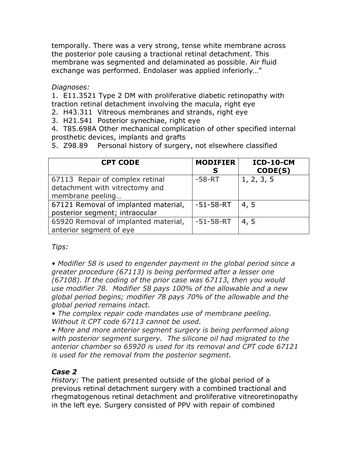temporally. There was a very strong, tense white membrane across the posterior pole causing a tractional retinal detachment. This membrane was segmented and delaminated as possible. Air fluid exchange was performed. Endolaser was applied inferiorly…"

*Diagnoses:*

1. E11.3521 Type 2 DM with proliferative diabetic retinopathy with traction retinal detachment involving the macula, right eye

2. H43.311 Vitreous membranes and strands, right eye

3. H21.541 Posterior synechiae, right eye

4. T85.698A Other mechanical complication of other specified internal prosthetic devices, implants and grafts

5. Z98.89 Personal history of surgery, not elsewhere classified

| <b>CPT CODE</b>                                                                       | <b>MODIFIER</b><br>S | ICD-10-CM<br>CODE(S) |
|---------------------------------------------------------------------------------------|----------------------|----------------------|
| 67113 Repair of complex retinal<br>detachment with vitrectomy and<br>membrane peeling | $-58 - RT$           | 1, 2, 3, 5           |
| 67121 Removal of implanted material,<br>posterior segment; intraocular                | $-51 - 58 - RT$      | 4, 5                 |
| 65920 Removal of implanted material,<br>anterior segment of eye                       | $-51 - 58 - RT$      | 4, 5                 |

*Tips:*

*• Modifier 58 is used to engender payment in the global period since a greater procedure (67113) is being performed after a lesser one (67108). If the coding of the prior case was 67113, then you would use modifier 78. Modifier 58 pays 100% of the allowable and a new global period begins; modifier 78 pays 70% of the allowable and the global period remains intact.*

*• The complex repair code mandates use of membrane peeling. Without it CPT code 67113 cannot be used.*

*• More and more anterior segment surgery is being performed along with posterior segment surgery. The silicone oil had migrated to the anterior chamber so 65920 is used for its removal and CPT code 67121 is used for the removal from the posterior segment.* 

#### *Case 2*

*History:* The patient presented outside of the global period of a previous retinal detachment surgery with a combined tractional and rhegmatogenous retinal detachment and proliferative vitreoretinopathy in the left eye*.* Surgery consisted of PPV with repair of combined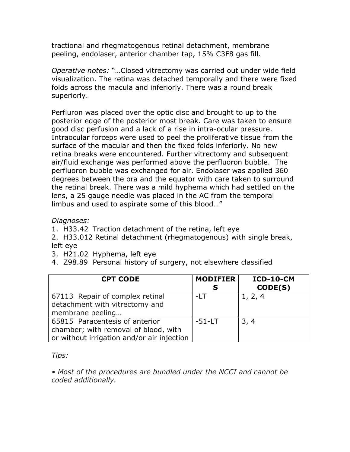tractional and rhegmatogenous retinal detachment, membrane peeling, endolaser, anterior chamber tap, 15% C3F8 gas fill.

*Operative notes:* "…Closed vitrectomy was carried out under wide field visualization. The retina was detached temporally and there were fixed folds across the macula and inferiorly. There was a round break superiorly.

Perfluron was placed over the optic disc and brought to up to the posterior edge of the posterior most break. Care was taken to ensure good disc perfusion and a lack of a rise in intra-ocular pressure. Intraocular forceps were used to peel the proliferative tissue from the surface of the macular and then the fixed folds inferiorly. No new retina breaks were encountered. Further vitrectomy and subsequent air/fluid exchange was performed above the perfluoron bubble. The perfluoron bubble was exchanged for air. Endolaser was applied 360 degrees between the ora and the equator with care taken to surround the retinal break. There was a mild hyphema which had settled on the lens, a 25 gauge needle was placed in the AC from the temporal limbus and used to aspirate some of this blood…"

*Diagnoses:*

1. H33.42 Traction detachment of the retina, left eye

2. H33.012 Retinal detachment (rhegmatogenous) with single break, left eye

- 3. H21.02 Hyphema, left eye
- 4. Z98.89 Personal history of surgery, not elsewhere classified

| <b>CPT CODE</b>                                                                                                      | <b>MODIFIER</b><br>S | <b>ICD-10-CM</b><br>CODE(S) |
|----------------------------------------------------------------------------------------------------------------------|----------------------|-----------------------------|
| 67113 Repair of complex retinal<br>detachment with vitrectomy and<br>membrane peeling                                | $-LT$                | 1, 2, 4                     |
| 65815 Paracentesis of anterior<br>chamber; with removal of blood, with<br>or without irrigation and/or air injection | $-51 - LT$           | 3, 4                        |

*Tips:*

*• Most of the procedures are bundled under the NCCI and cannot be coded additionally.*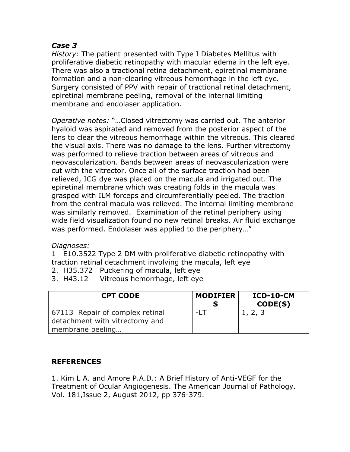#### *Case 3*

*History:* The patient presented with Type I Diabetes Mellitus with proliferative diabetic retinopathy with macular edema in the left eye. There was also a tractional retina detachment, epiretinal membrane formation and a non-clearing vitreous hemorrhage in the left eye*.*  Surgery consisted of PPV with repair of tractional retinal detachment, epiretinal membrane peeling, removal of the internal limiting membrane and endolaser application.

*Operative notes:* "…Closed vitrectomy was carried out. The anterior hyaloid was aspirated and removed from the posterior aspect of the lens to clear the vitreous hemorrhage within the vitreous. This cleared the visual axis. There was no damage to the lens. Further vitrectomy was performed to relieve traction between areas of vitreous and neovascularization. Bands between areas of neovascularization were cut with the vitrector. Once all of the surface traction had been relieved, ICG dye was placed on the macula and irrigated out. The epiretinal membrane which was creating folds in the macula was grasped with ILM forceps and circumferentially peeled. The traction from the central macula was relieved. The internal limiting membrane was similarly removed. Examination of the retinal periphery using wide field visualization found no new retinal breaks. Air fluid exchange was performed. Endolaser was applied to the periphery…"

#### *Diagnoses:*

1 E10.3522 Type 2 DM with proliferative diabetic retinopathy with traction retinal detachment involving the macula, left eye

- 2. H35.372 Puckering of macula, left eye
- 3. H43.12 Vitreous hemorrhage, left eye

| <b>CPT CODE</b>                                                   | <b>MODIFIER</b> | $ICD-10-CM$<br>CODE(S) |
|-------------------------------------------------------------------|-----------------|------------------------|
| 67113 Repair of complex retinal<br>detachment with vitrectomy and | -I T            | 1, 2, 3                |
| membrane peeling                                                  |                 |                        |

# **REFERENCES**

1. Kim L A. and Amore P.A.D.: A Brief History of Anti-VEGF for the Treatment of Ocular Angiogenesis. The American Journal of Pathology. Vol. 181,Issue 2, August 2012, pp 376-379.